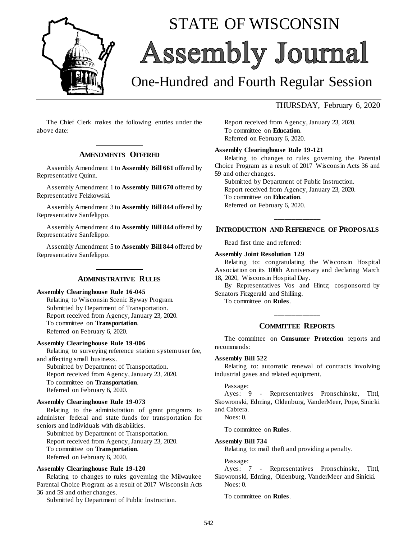

# STATE OF WISCONSIN Assembly Journal

# One-Hundred and Fourth Regular Session

### THURSDAY, February 6, 2020

The Chief Clerk makes the following entries under the above date:

# **\_\_\_\_\_\_\_\_\_\_\_\_\_ AMENDMENTS OFFERED**

Assembly Amendment 1 to **Assembly Bill 661** offered by Representative Quinn.

Assembly Amendment 1 to **Assembly Bill 670** offered by Representative Felzkowski.

Assembly Amendment 3 to **Assembly Bill 844** offered by Representative Sanfelippo.

Assembly Amendment 4 to **Assembly Bill 844** offered by Representative Sanfelippo.

Assembly Amendment 5 to **Assembly Bill 844** offered by Representative Sanfelippo.

# **\_\_\_\_\_\_\_\_\_\_\_\_\_ ADMINISTRATIVE RULES**

**Assembly Clearinghouse Rule 16-045**

Relating to Wisconsin Scenic Byway Program. Submitted by Department of Transportation. Report received from Agency, January 23, 2020. To committee on **Transportation**. Referred on February 6, 2020.

#### **Assembly Clearinghouse Rule 19-006**

Relating to surveying reference station system user fee, and affecting small business.

Submitted by Department of Transportation. Report received from Agency, January 23, 2020. To committee on **Transportation**. Referred on February 6, 2020.

#### **Assembly Clearinghouse Rule 19-073**

Relating to the administration of grant programs to administer federal and state funds for transportation for seniors and individuals with disabilities.

Submitted by Department of Transportation. Report received from Agency, January 23, 2020. To committee on **Transportation**. Referred on February 6, 2020.

#### **Assembly Clearinghouse Rule 19-120**

Relating to changes to rules governing the Milwaukee Parental Choice Program as a result of 2017 Wisconsin Acts 36 and 59 and other changes.

Submitted by Department of Public Instruction.

Report received from Agency, January 23, 2020. To committee on **Education**. Referred on February 6, 2020.

#### **Assembly Clearinghouse Rule 19-121**

Relating to changes to rules governing the Parental Choice Program as a result of 2017 Wisconsin Acts 36 and 59 and other changes.

Submitted by Department of Public Instruction. Report received from Agency, January 23, 2020. To committee on **Education**. Referred on February 6, 2020.

# **\_\_\_\_\_\_\_\_\_\_\_\_\_ INTRODUCTION AND REFERENCE OF PROPOSALS**

Read first time and referred:

#### **Assembly Joint Resolution 129**

Relating to: congratulating the Wisconsin Hospital Association on its 100th Anniversary and declaring March 18, 2020, Wisconsin Hospital Day.

By Representatives Vos and Hintz; cosponsored by Senators Fitzgerald and Shilling.

To committee on **Rules**.

#### **COMMITTEE REPORTS**

**\_\_\_\_\_\_\_\_\_\_\_\_\_**

The committee on **Consumer Protection** reports and recommends:

#### **Assembly Bill 522**

Relating to: automatic renewal of contracts involving industrial gases and related equipment.

#### Passage:

Ayes: 9 - Representatives Pronschinske, Tittl, Skowronski, Edming, Oldenburg, VanderMeer, Pope, Sinicki and Cabrera.

Noes: 0.

To committee on **Rules**.

#### **Assembly Bill 734**

Relating to: mail theft and providing a penalty.

Passage:

Ayes: 7 - Representatives Pronschinske, Tittl, Skowronski, Edming, Oldenburg, VanderMeer and Sinicki. Noes: 0.

To committee on **Rules**.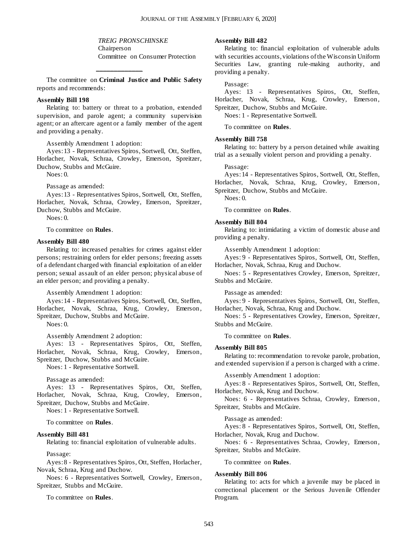*TREIG PRONSCHINSKE* Chairperson Committee on Consumer Protection

The committee on **Criminal Justice and Public Safety** reports and recommends:

**\_\_\_\_\_\_\_\_\_\_\_\_\_**

#### **Assembly Bill 198**

Relating to: battery or threat to a probation, extended supervision, and parole agent; a community supervision agent; or an aftercare agent or a family member of the agent and providing a penalty.

Assembly Amendment 1 adoption:

Ayes: 13 - Representatives Spiros, Sortwell, Ott, Steffen, Horlacher, Novak, Schraa, Crowley, Emerson, Spreitzer, Duchow, Stubbs and McGuire.

 $N$ oes: 0.

Passage as amended:

Ayes: 13 - Representatives Spiros, Sortwell, Ott, Steffen, Horlacher, Novak, Schraa, Crowley, Emerson, Spreitzer, Duchow, Stubbs and McGuire.

 $N_{O}e^{c}$   $\theta$ .

To committee on **Rules**.

#### **Assembly Bill 480**

Relating to: increased penalties for crimes against elder persons; restraining orders for elder persons; freezing assets of a defendant charged with financial exploitation of an elder person; sexual assault of an elder person; physical abuse of an elder person; and providing a penalty.

Assembly Amendment 1 adoption:

Ayes: 14 - Representatives Spiros, Sortwell, Ott, Steffen, Horlacher, Novak, Schraa, Krug, Crowley, Emerson, Spreitzer, Duchow, Stubbs and McGuire.

Noes: 0.

Assembly Amendment 2 adoption:

Ayes: 13 - Representatives Spiros, Ott, Steffen, Horlacher, Novak, Schraa, Krug, Crowley, Emerson, Spreitzer, Duchow, Stubbs and McGuire.

Noes: 1 - Representative Sortwell.

Passage as amended:

Ayes: 13 - Representatives Spiros, Ott, Steffen, Horlacher, Novak, Schraa, Krug, Crowley, Emerson, Spreitzer, Duchow, Stubbs and McGuire.

Noes: 1 - Representative Sortwell.

To committee on **Rules**.

#### **Assembly Bill 481**

Relating to: financial exploitation of vulnerable adults.

Passage:

Ayes: 8 - Representatives Spiros, Ott, Steffen, Horlacher, Novak, Schraa, Krug and Duchow.

Noes: 6 - Representatives Sortwell, Crowley, Emerson, Spreitzer, Stubbs and McGuire.

To committee on **Rules**.

#### **Assembly Bill 482**

Relating to: financial exploitation of vulnerable adults with securities accounts, violations of the Wisconsin Uniform Securities Law, granting rule-making authority, and providing a penalty.

Passage:

Ayes: 13 - Representatives Spiros, Ott, Steffen, Horlacher, Novak, Schraa, Krug, Crowley, Emerson, Spreitzer, Duchow, Stubbs and McGuire.

Noes: 1 - Representative Sortwell.

To committee on **Rules**.

#### **Assembly Bill 758**

Relating to: battery by a person detained while awaiting trial as a sexually violent person and providing a penalty.

Passage:

Ayes: 14 - Representatives Spiros, Sortwell, Ott, Steffen, Horlacher, Novak, Schraa, Krug, Crowley, Emerson,

Spreitzer, Duchow, Stubbs and McGuire.

 $N$ oes: 0.

To committee on **Rules**.

#### **Assembly Bill 804**

Relating to: intimidating a victim of domestic abuse and providing a penalty.

Assembly Amendment 1 adoption:

Ayes: 9 - Representatives Spiros, Sortwell, Ott, Steffen, Horlacher, Novak, Schraa, Krug and Duchow.

Noes: 5 - Representatives Crowley, Emerson, Spreitzer, Stubbs and McGuire.

Passage as amended:

Ayes: 9 - Representatives Spiros, Sortwell, Ott, Steffen, Horlacher, Novak, Schraa, Krug and Duchow.

Noes: 5 - Representatives Crowley, Emerson, Spreitzer, Stubbs and McGuire.

To committee on **Rules**.

#### **Assembly Bill 805**

Relating to: recommendation to revoke parole, probation, and extended supervision if a person is charged with a crime.

Assembly Amendment 1 adoption:

Ayes: 8 - Representatives Spiros, Sortwell, Ott, Steffen, Horlacher, Novak, Krug and Duchow.

Noes: 6 - Representatives Schraa, Crowley, Emerson, Spreitzer, Stubbs and McGuire.

Passage as amended:

Ayes: 8 - Representatives Spiros, Sortwell, Ott, Steffen, Horlacher, Novak, Krug and Duchow.

Noes: 6 - Representatives Schraa, Crowley, Emerson, Spreitzer, Stubbs and McGuire.

To committee on **Rules**.

#### **Assembly Bill 806**

Relating to: acts for which a juvenile may be placed in correctional placement or the Serious Juvenile Offender Program.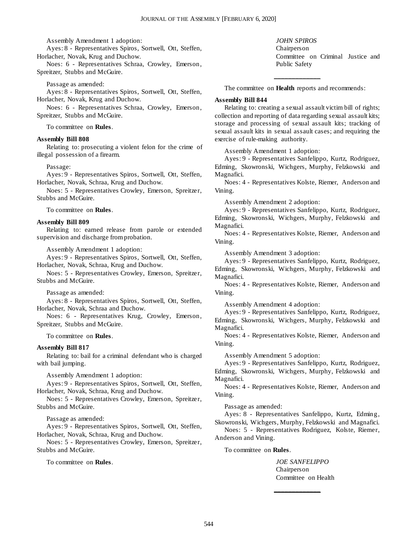Assembly Amendment 1 adoption:

Ayes: 8 - Representatives Spiros, Sortwell, Ott, Steffen, Horlacher, Novak, Krug and Duchow.

Noes: 6 - Representatives Schraa, Crowley, Emerson, Spreitzer, Stubbs and McGuire.

Passage as amended:

Ayes: 8 - Representatives Spiros, Sortwell, Ott, Steffen, Horlacher, Novak, Krug and Duchow.

Noes: 6 - Representatives Schraa, Crowley, Emerson, Spreitzer, Stubbs and McGuire.

To committee on **Rules**.

#### **Assembly Bill 808**

Relating to: prosecuting a violent felon for the crime of illegal possession of a firearm.

#### Passage:

Ayes: 9 - Representatives Spiros, Sortwell, Ott, Steffen, Horlacher, Novak, Schraa, Krug and Duchow.

Noes: 5 - Representatives Crowley, Emerson, Spreitzer, Stubbs and McGuire.

To committee on **Rules**.

#### **Assembly Bill 809**

Relating to: earned release from parole or extended supervision and discharge from probation.

Assembly Amendment 1 adoption:

Ayes: 9 - Representatives Spiros, Sortwell, Ott, Steffen, Horlacher, Novak, Schraa, Krug and Duchow.

Noes: 5 - Representatives Crowley, Emerson, Spreitzer, Stubbs and McGuire.

#### Passage as amended:

Ayes: 8 - Representatives Spiros, Sortwell, Ott, Steffen, Horlacher, Novak, Schraa and Duchow.

Noes: 6 - Representatives Krug, Crowley, Emerson, Spreitzer, Stubbs and McGuire.

To committee on **Rules**.

#### **Assembly Bill 817**

Relating to: bail for a criminal defendant who is charged with bail jumping.

Assembly Amendment 1 adoption:

Ayes: 9 - Representatives Spiros, Sortwell, Ott, Steffen, Horlacher, Novak, Schraa, Krug and Duchow.

Noes: 5 - Representatives Crowley, Emerson, Spreitzer, Stubbs and McGuire.

Passage as amended:

Ayes: 9 - Representatives Spiros, Sortwell, Ott, Steffen, Horlacher, Novak, Schraa, Krug and Duchow.

Noes: 5 - Representatives Crowley, Emerson, Spreitzer, Stubbs and McGuire.

To committee on **Rules**.

*JOHN SPIROS* Chairperson Committee on Criminal Justice and Public Safety

**\_\_\_\_\_\_\_\_\_\_\_\_\_** The committee on **Health** reports and recommends:

#### **Assembly Bill 844**

Relating to: creating a sexual assault victim bill of rights; collection and reporting of data regarding sexual assault kits; storage and processing of sexual assault kits; tracking of sexual assault kits in sexual assault cases; and requiring the exercise of rule-making authority.

Assembly Amendment 1 adoption:

Ayes: 9 - Representatives Sanfelippo, Kurtz, Rodriguez, Edming, Skowronski, Wichgers, Murphy, Felzkowski and Magnafici.

Noes: 4 - Representatives Kolste, Riemer, Anderson and Vining.

Assembly Amendment 2 adoption:

Ayes: 9 - Representatives Sanfelippo, Kurtz, Rodriguez, Edming, Skowronski, Wichgers, Murphy, Felzkowski and Magnafici.

Noes: 4 - Representatives Kolste, Riemer, Anderson and Vining.

Assembly Amendment 3 adoption:

Ayes: 9 - Representatives Sanfelippo, Kurtz, Rodriguez, Edming, Skowronski, Wichgers, Murphy, Felzkowski and Magnafici.

Noes: 4 - Representatives Kolste, Riemer, Anderson and Vining.

Assembly Amendment 4 adoption:

Ayes: 9 - Representatives Sanfelippo, Kurtz, Rodriguez, Edming, Skowronski, Wichgers, Murphy, Felzkowski and Magnafici.

Noes: 4 - Representatives Kolste, Riemer, Anderson and Vining.

Assembly Amendment 5 adoption:

Ayes: 9 - Representatives Sanfelippo, Kurtz, Rodriguez, Edming, Skowronski, Wichgers, Murphy, Felzkowski and Magnafici.

Noes: 4 - Representatives Kolste, Riemer, Anderson and Vining.

Passage as amended:

Ayes: 8 - Representatives Sanfelippo, Kurtz, Edming, Skowronski, Wichgers, Murphy, Felzkowski and Magnafici.

Noes: 5 - Representatives Rodriguez, Kolste, Riemer, Anderson and Vining.

To committee on **Rules**.

*JOE SANFELIPPO* Chairperson Committee on Health

**\_\_\_\_\_\_\_\_\_\_\_\_\_**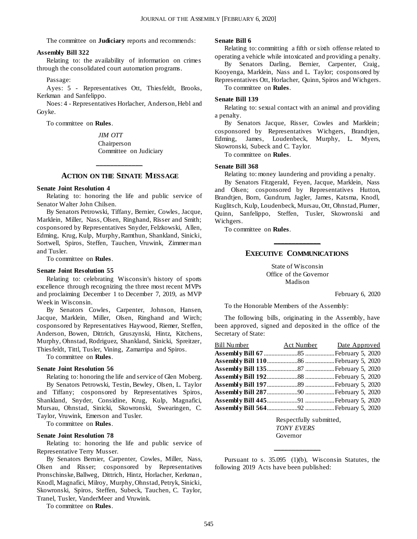The committee on **Judiciary** reports and recommends:

#### **Assembly Bill 322**

Relating to: the availability of information on crimes through the consolidated court automation programs.

Passage:

Ayes: 5 - Representatives Ott, Thiesfeldt, Brooks, Kerkman and Sanfelippo.

Noes: 4 - Representatives Horlacher, Anderson, Hebl and Goyke.

To committee on **Rules**.

*JIM OTT* Chairperson Committee on Judiciary

#### **ACTION ON THE SENATE MESSAGE**

**\_\_\_\_\_\_\_\_\_\_\_\_\_**

#### **Senate Joint Resolution 4**

Relating to: honoring the life and public service of Senator Walter John Chilsen.

By Senators Petrowski, Tiffany, Bernier, Cowles, Jacque, Marklein, Miller, Nass, Olsen, Ringhand, Risser and Smith; cosponsored by Representatives Snyder, Felzkowski, Allen, Edming, Krug, Kulp, Murphy, Ramthun, Shankland, Sinicki, Sortwell, Spiros, Steffen, Tauchen, Vruwink, Zimmer man and Tusler.

To committee on **Rules**.

#### **Senate Joint Resolution 55**

Relating to: celebrating Wisconsin's history of sports excellence through recognizing the three most recent MVPs and proclaiming December 1 to December 7, 2019, as MVP Week in Wisconsin.

By Senators Cowles, Carpenter, Johnson, Hansen, Jacque, Marklein, Miller, Olsen, Ringhand and Wirch; cosponsored by Representatives Haywood, Riemer, Steffen, Anderson, Bowen, Dittrich, Gruszynski, Hintz, Kitchens, Murphy, Ohnstad, Rodriguez, Shankland, Sinicki, Spreitzer, Thiesfeldt, Tittl, Tusler, Vining, Zamarripa and Spiros.

To committee on **Rules**.

#### **Senate Joint Resolution 56**

Relating to: honoring the life and service of Glen Moberg. By Senators Petrowski, Testin, Bewley, Olsen, L. Taylor and Tiffany; cosponsored by Representatives Spiros, Shankland, Snyder, Considine, Krug, Kulp, Magnafici, Mursau, Ohnstad, Sinicki, Skowronski, Swearingen, C. Taylor, Vruwink, Emerson and Tusler.

To committee on **Rules**.

#### **Senate Joint Resolution 78**

Relating to: honoring the life and public service of Representative Terry Musser.

By Senators Bernier, Carpenter, Cowles, Miller, Nass, Olsen and Risser; cosponsored by Representatives Pronschinske, Ballweg, Dittrich, Hintz, Horlacher, Kerkman, Knodl, Magnafici, Milroy, Murphy, Ohnstad, Petryk, Sinicki, Skowronski, Spiros, Steffen, Subeck, Tauchen, C. Taylor, Tranel, Tusler, VanderMeer and Vruwink.

To committee on **Rules**.

#### **Senate Bill 6**

Relating to: committing a fifth or sixth offense related to operating a vehicle while intoxicated and providing a penalty.

By Senators Darling, Bernier, Carpenter, Craig, Kooyenga, Marklein, Nass and L. Taylor; cosponsored by

Representatives Ott, Horlacher, Quinn, Spiros and Wichgers. To committee on **Rules**.

#### **Senate Bill 139**

Relating to: sexual contact with an animal and providing a penalty.

By Senators Jacque, Risser, Cowles and Marklein; cosponsored by Representatives Wichgers, Brandtjen, Edming, James, Loudenbeck, Murphy, L. Myers, Skowronski, Subeck and C. Taylor.

To committee on **Rules**.

#### **Senate Bill 368**

Relating to: money laundering and providing a penalty.

By Senators Fitzgerald, Feyen, Jacque, Marklein, Nass and Olsen; cosponsored by Representatives Hutton, Brandtjen, Born, Gundrum, Jagler, James, Katsma, Knodl, Kuglitsch, Kulp, Loudenbeck, Mursau, Ott, Ohnstad, Plumer, Quinn, Sanfelippo, Steffen, Tusler, Skowronski and Wichgers.

To committee on **Rules**.

# **\_\_\_\_\_\_\_\_\_\_\_\_\_ EXECUTIVE COMMUNICATIONS**

State of Wisconsin Office of the Governor Madison

February 6, 2020

To the Honorable Members of the Assembly:

The following bills, originating in the Assembly, have been approved, signed and deposited in the office of the Secretary of State:

| Bill Number 4ct Number Date Approved |  |
|--------------------------------------|--|
|                                      |  |
|                                      |  |
|                                      |  |
|                                      |  |
|                                      |  |
|                                      |  |
|                                      |  |
|                                      |  |

Respectfully submitted, *TONY EVERS* Governor

Pursuant to s. 35.095 (1)(b), Wisconsin Statutes, the following 2019 Acts have been published:

**\_\_\_\_\_\_\_\_\_\_\_\_\_**